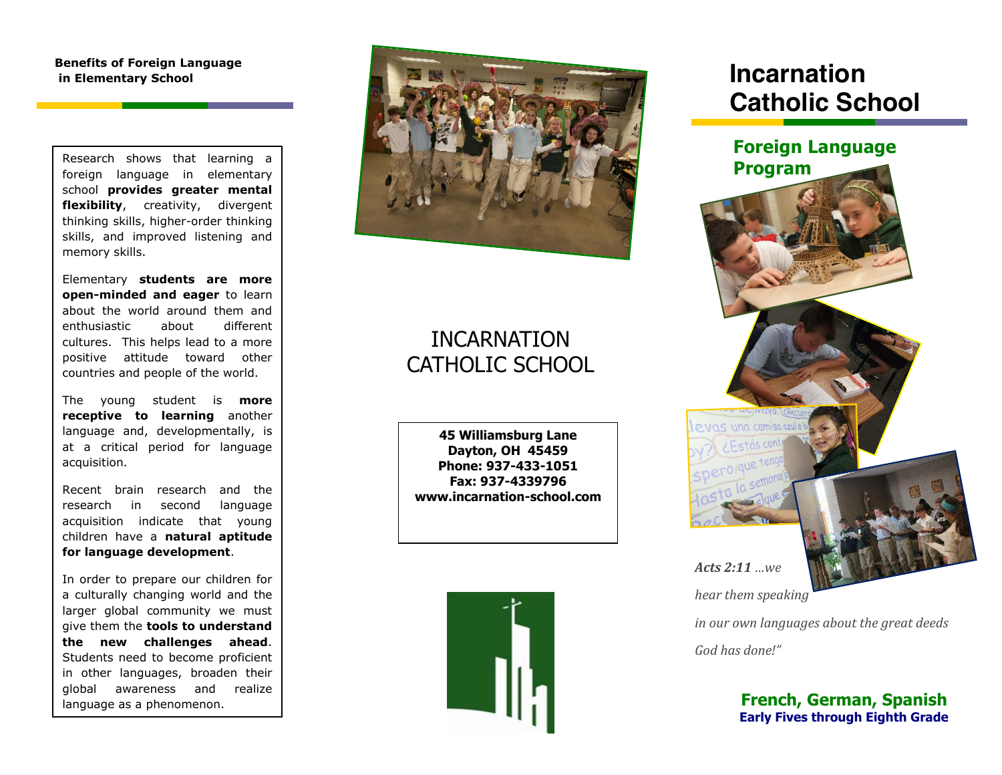**Benefits of Foreign Language in Elementary School**

Research shows that learning a foreign language in elementary school **provides greater mental flexibility**, creativity, divergent thinking skills, higher-order thinking skills, and improved listening and memory skills.

Elementary **students are more open-minded and eager** to learn about the world around them and enthusiastic about different cultures. This helps lead to a more positive attitude toward other countries and people of the world.

The young student is **more receptive to learning** another language and, developmentally, is at a critical period for language acquisition.

Recent brain research and the research in second language acquisition indicate that young children have a **natural aptitude for language development**.

In order to prepare our children for a culturally changing world and the larger global community we must give them the **tools to understand the new challenges ahead**. Students need to become proficient in other languages, broaden their global awareness and realize language as a phenomenon.



# INCARNATION CATHOLIC SCHOOL

**45 Williamsburg Lane Dayton, OH 45459 Phone: 937-433-1051 Fax: 937-4339796 www.incarnation-school.com**



# **Incarnation Catholic School**



*hear them speaking* 

*in our own languages about the great deeds*

*God has done!"*

## **French, German, Spanish Early Fives through Eighth Grade**